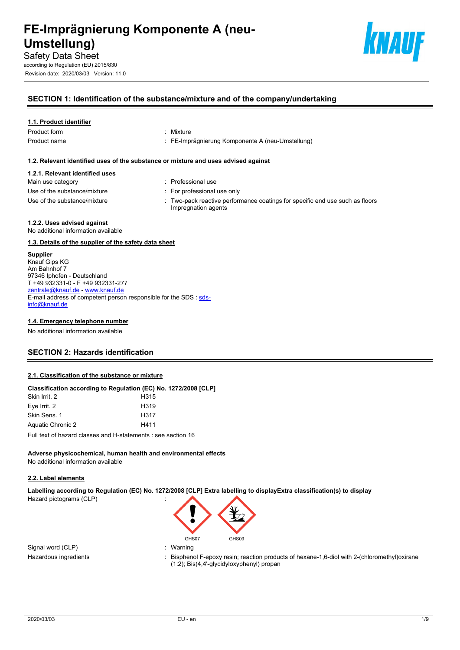

Revision date: 2020/03/03 Version: 11.0



## **SECTION 1: Identification of the substance/mixture and of the company/undertaking**

## **1.1. Product identifier**

Product form **: Mixture** 

- 
- Product name **in the set of the COV** control of FE-Imprägnierung Komponente A (neu-Umstellung)

## **1.2. Relevant identified uses of the substance or mixture and uses advised against**

## **1.2.1. Relevant identified uses**

- Main use category **interest and the COV** Main use category **interest and the Professional use** 
	-
- Use of the substance/mixture in the substance in the set of the substance/mixture in the set of the set of the substance/mixture in the set of the set of the set of the set of the set of the set of the set of the set of th
- -
- 
- Use of the substance/mixture : Two-pack reactive performance coatings for specific end use such as floors Impregnation agents

## **1.2.2. Uses advised against**

No additional information available

## **1.3. Details of the supplier of the safety data sheet**

**Supplier** Knauf Gips KG Am Bahnhof 7 97346 Iphofen - Deutschland T +49 932331-0 - F +49 932331-277 [zentrale@knauf.de](mailto:zentrale@knauf.de) -<www.knauf.de> E-mail address of competent person responsible for the SDS : [sds](mailto:sds-info@knauf.de)[info@knauf.de](mailto:sds-info@knauf.de)

## **1.4. Emergency telephone number**

No additional information available

## **SECTION 2: Hazards identification**

## **2.1. Classification of the substance or mixture**

| Classification according to Regulation (EC) No. 1272/2008 [CLP] |                  |
|-----------------------------------------------------------------|------------------|
| Skin Irrit. 2                                                   | H315             |
| Eye Irrit. 2                                                    | H <sub>319</sub> |
| Skin Sens, 1                                                    | H317             |
| Aquatic Chronic 2                                               | H411             |
|                                                                 |                  |

Full text of hazard classes and H-statements : see section 16

#### **Adverse physicochemical, human health and environmental effects** No additional information available

## **2.2. Label elements**

**Labelling according to Regulation (EC) No. 1272/2008 [CLP] Extra labelling to displayExtra classification(s) to display**  Hazard pictograms (CLP) :

Signal word (CLP) **in the set of the Signal word (CLP)** and the set of the set of the set of the set of the set o

- GHS07 GHS09
- 
- Hazardous ingredients : Bisphenol F-epoxy resin; reaction products of hexane-1,6-diol with 2-(chloromethyl)oxirane (1:2); Bis(4,4'-glycidyloxyphenyl) propan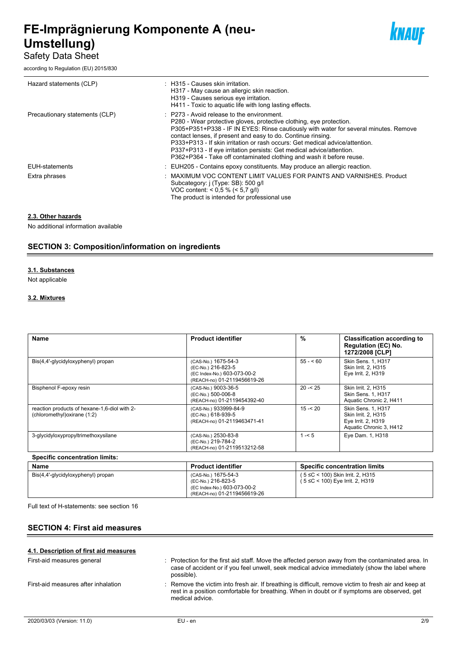## Safety Data Sheet

according to Regulation (EU) 2015/830



| Hazard statements (CLP)        | : H315 - Causes skin irritation.<br>H317 - May cause an allergic skin reaction.<br>H319 - Causes serious eye irritation.<br>H411 - Toxic to aquatic life with long lasting effects.                                                                                                                                                                                                                                                                                                                        |
|--------------------------------|------------------------------------------------------------------------------------------------------------------------------------------------------------------------------------------------------------------------------------------------------------------------------------------------------------------------------------------------------------------------------------------------------------------------------------------------------------------------------------------------------------|
| Precautionary statements (CLP) | : P273 - Avoid release to the environment.<br>P280 - Wear protective gloves, protective clothing, eye protection.<br>P305+P351+P338 - IF IN EYES: Rinse cautiously with water for several minutes. Remove<br>contact lenses, if present and easy to do. Continue rinsing.<br>P333+P313 - If skin irritation or rash occurs: Get medical advice/attention.<br>P337+P313 - If eye irritation persists: Get medical advice/attention.<br>P362+P364 - Take off contaminated clothing and wash it before reuse. |
| <b>EUH-statements</b>          | $\therefore$ EUH205 - Contains epoxy constituents. May produce an allergic reaction.                                                                                                                                                                                                                                                                                                                                                                                                                       |
| Extra phrases                  | MAXIMUM VOC CONTENT LIMIT VALUES FOR PAINTS AND VARNISHES. Product<br>Subcategory: i (Type: SB): 500 g/l<br>VOC content: < $0.5 \%$ (< 5.7 g/l)<br>The product is intended for professional use                                                                                                                                                                                                                                                                                                            |

## **2.3. Other hazards**

No additional information available

## **SECTION 3: Composition/information on ingredients**

#### **3.1. Substances**

Not applicable

## **3.2. Mixtures**

| <b>Name</b>                                                                  | <b>Product identifier</b>                                                                               | $\%$      | <b>Classification according to</b><br><b>Regulation (EC) No.</b><br>1272/2008 [CLP]        |
|------------------------------------------------------------------------------|---------------------------------------------------------------------------------------------------------|-----------|--------------------------------------------------------------------------------------------|
| Bis(4,4'-glycidyloxyphenyl) propan                                           | (CAS-No.) 1675-54-3<br>(EC-No.) 216-823-5<br>(EC Index-No.) 603-073-00-2<br>(REACH-no) 01-2119456619-26 | $55 - 60$ | <b>Skin Sens. 1. H317</b><br>Skin Irrit. 2, H315<br>Eye Irrit. 2, H319                     |
| Bisphenol F-epoxy resin                                                      | (CAS-No.) 9003-36-5<br>(EC-No.) 500-006-8<br>(REACH-no) 01-2119454392-40                                | $20 - 25$ | Skin Irrit. 2. H315<br><b>Skin Sens. 1. H317</b><br>Aquatic Chronic 2, H411                |
| reaction products of hexane-1,6-diol with 2-<br>(chloromethyl) oxirane (1:2) | (CAS-No.) 933999-84-9<br>(EC-No.) 618-939-5<br>(REACH-no) 01-2119463471-41                              | $15 - 20$ | Skin Sens. 1, H317<br>Skin Irrit. 2. H315<br>Eye Irrit. 2, H319<br>Aquatic Chronic 3, H412 |
| 3-glycidyloxypropyltrimethoxysilane                                          | (CAS-No.) 2530-83-8<br>(EC-No.) 219-784-2<br>(REACH-no) 01-2119513212-58                                | $1 - 5$   | Eye Dam. 1, H318                                                                           |
| <b>Specific concentration limits:</b>                                        |                                                                                                         |           |                                                                                            |

| <b>Name</b>                        | <b>Product identifier</b>                                                                               | <b>Specific concentration limits</b>                                     |
|------------------------------------|---------------------------------------------------------------------------------------------------------|--------------------------------------------------------------------------|
| Bis(4,4'-glycidyloxyphenyl) propan | (CAS-No.) 1675-54-3<br>(EC-No.) 216-823-5<br>(EC Index-No.) 603-073-00-2<br>(REACH-no) 01-2119456619-26 | ( $5 ≤ C < 100$ ) Skin Irrit. 2, H315<br>(5 ≤C < 100) Eye Irrit. 2, H319 |

Full text of H-statements: see section 16

## **SECTION 4: First aid measures**

| 4.1. Description of first aid measures |                                                                                                                                                                                                                         |
|----------------------------------------|-------------------------------------------------------------------------------------------------------------------------------------------------------------------------------------------------------------------------|
| First-aid measures general             | : Protection for the first aid staff. Move the affected person away from the contaminated area. In<br>case of accident or if you feel unwell, seek medical advice immediately (show the label where<br>possible).       |
| First-aid measures after inhalation    | : Remove the victim into fresh air. If breathing is difficult, remove victim to fresh air and keep at<br>rest in a position comfortable for breathing. When in doubt or if symptoms are observed, get<br>medical advice |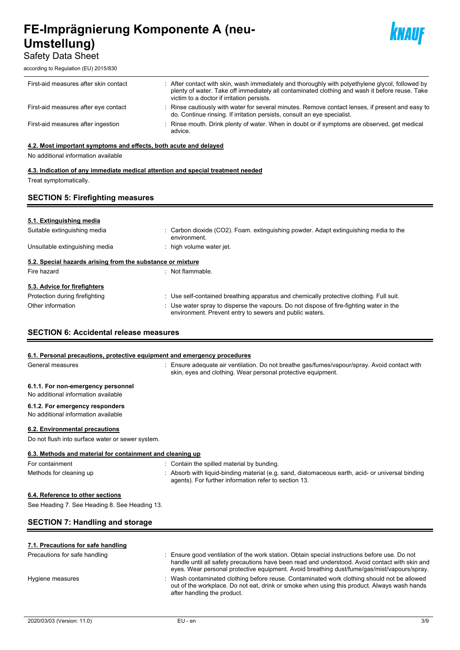## Safety Data Sheet

according to Regulation (EU) 2015/830



| First-aid measures after skin contact | : After contact with skin, wash immediately and thoroughly with polyethylene glycol, followed by<br>plenty of water. Take off immediately all contaminated clothing and wash it before reuse. Take<br>victim to a doctor if irritation persists. |
|---------------------------------------|--------------------------------------------------------------------------------------------------------------------------------------------------------------------------------------------------------------------------------------------------|
| First-aid measures after eye contact  | Rinse cautiously with water for several minutes. Remove contact lenses, if present and easy to<br>do. Continue rinsing. If irritation persists, consult an eye specialist.                                                                       |
| First-aid measures after ingestion    | : Rinse mouth. Drink plenty of water. When in doubt or if symptoms are observed, get medical<br>advice.                                                                                                                                          |

## **4.2. Most important symptoms and effects, both acute and delayed**

No additional information available

## **4.3. Indication of any immediate medical attention and special treatment needed** Treat symptomatically.

## **SECTION 5: Firefighting measures**

## **5.1. Extinguishing media**

| Suitable extinguishing media                               | : Carbon dioxide (CO2). Foam. extinguishing powder. Adapt extinguishing media to the<br>environment.                                               |
|------------------------------------------------------------|----------------------------------------------------------------------------------------------------------------------------------------------------|
| Unsuitable extinguishing media                             | : high volume water jet.                                                                                                                           |
| 5.2. Special hazards arising from the substance or mixture |                                                                                                                                                    |
| Fire hazard                                                | : Not flammable.                                                                                                                                   |
| 5.3. Advice for firefighters                               |                                                                                                                                                    |
| Protection during firefighting                             | : Use self-contained breathing apparatus and chemically protective clothing. Full suit.                                                            |
| Other information                                          | : Use water spray to disperse the vapours. Do not dispose of fire-fighting water in the<br>environment. Prevent entry to sewers and public waters. |

## **SECTION 6: Accidental release measures**

## **6.1. Personal precautions, protective equipment and emergency procedures**

| General measures                                                          | : Ensure adequate air ventilation. Do not breathe gas/fumes/vapour/spray. Avoid contact with<br>skin, eyes and clothing. Wear personal protective equipment. |
|---------------------------------------------------------------------------|--------------------------------------------------------------------------------------------------------------------------------------------------------------|
| 6.1.1. For non-emergency personnel<br>No additional information available |                                                                                                                                                              |
| 6.1.2. For emergency responders<br>No additional information available    |                                                                                                                                                              |
| 6.2. Environmental precautions                                            |                                                                                                                                                              |
| Do not flush into surface water or sewer system.                          |                                                                                                                                                              |
| 6.3. Methods and material for containment and cleaning up                 |                                                                                                                                                              |
| For containment                                                           | : Contain the spilled material by bunding.                                                                                                                   |

Methods for cleaning up : Absorb with liquid-binding material (e.g. sand, diatomaceous earth, acid- or universal binding agents). For further information refer to section 13.

## **6.4. Reference to other sections**

See Heading 7. See Heading 8. See Heading 13.

## **SECTION 7: Handling and storage**

| 7.1. Precautions for safe handling |                                                                                                                                                                                                                                                                                                |
|------------------------------------|------------------------------------------------------------------------------------------------------------------------------------------------------------------------------------------------------------------------------------------------------------------------------------------------|
| Precautions for safe handling      | : Ensure good ventilation of the work station. Obtain special instructions before use. Do not<br>handle until all safety precautions have been read and understood. Avoid contact with skin and<br>eyes. Wear personal protective equipment. Avoid breathing dust/fume/gas/mist/vapours/spray. |
| Hygiene measures                   | : Wash contaminated clothing before reuse. Contaminated work clothing should not be allowed<br>out of the workplace. Do not eat, drink or smoke when using this product. Always wash hands<br>after handling the product.                                                                      |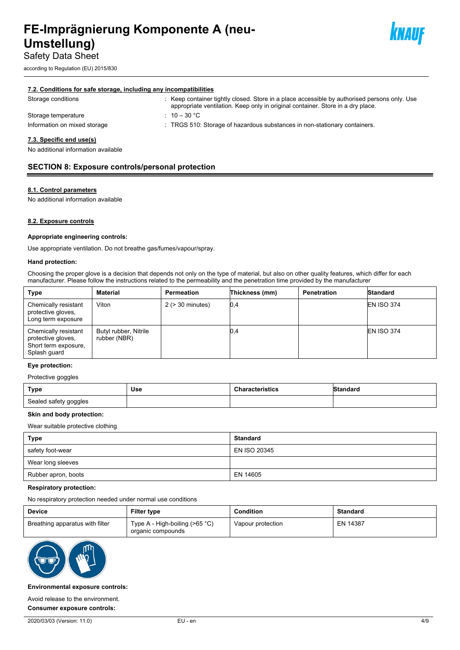according to Regulation (EU) 2015/830



#### **7.2. Conditions for safe storage, including any incompatibilities**

| Storage conditions           | : Keep container tightly closed. Store in a place accessible by authorised persons only. Use<br>appropriate ventilation. Keep only in original container. Store in a dry place. |
|------------------------------|---------------------------------------------------------------------------------------------------------------------------------------------------------------------------------|
| Storage temperature          | $10 - 30$ °C                                                                                                                                                                    |
| Information on mixed storage | . TRGS 510: Storage of hazardous substances in non-stationary containers.                                                                                                       |
| 73 Snacific and usals)       |                                                                                                                                                                                 |

#### **7.3. Specific end use(s)**

No additional information available

## **SECTION 8: Exposure controls/personal protection**

#### **8.1. Control parameters**

No additional information available

### **8.2. Exposure controls**

#### **Appropriate engineering controls:**

Use appropriate ventilation. Do not breathe gas/fumes/vapour/spray.

#### **Hand protection:**

Choosing the proper glove is a decision that depends not only on the type of material, but also on other quality features, which differ for each manufacturer. Please follow the instructions related to the permeability and the penetration time provided by the manufacturer

| <b>Type</b>                                                                        | Material                              | Permeation            | Thickness (mm) | <b>Penetration</b> | Standard          |
|------------------------------------------------------------------------------------|---------------------------------------|-----------------------|----------------|--------------------|-------------------|
| Chemically resistant<br>protective gloves,<br>Long term exposure                   | Viton                                 | $2$ ( $>$ 30 minutes) | 0,4            |                    | <b>EN ISO 374</b> |
| Chemically resistant<br>protective gloves.<br>Short term exposure,<br>Splash guard | Butyl rubber, Nitrile<br>rubber (NBR) |                       | 0,4            |                    | <b>EN ISO 374</b> |

#### **Eye protection:**

#### Protective goggles

| Type                  | Use | <b>Characteristics</b> | Standard |
|-----------------------|-----|------------------------|----------|
| Sealed safety goggles |     |                        |          |

#### **Skin and body protection:**

Wear suitable protective clothing

| <b>Type</b>         | <b>Standard</b> |
|---------------------|-----------------|
| safety foot-wear    | EN ISO 20345    |
| Wear long sleeves   |                 |
| Rubber apron, boots | EN 14605        |

#### **Respiratory protection:**

No respiratory protection needed under normal use conditions

| <b>Device</b>                   | <b>Filter type</b>                                     | <b>Condition</b>  | <b>Standard</b> |
|---------------------------------|--------------------------------------------------------|-------------------|-----------------|
| Breathing apparatus with filter | Type A - High-boiling ( $>65$ °C)<br>organic compounds | Vapour protection | EN 14387        |



#### **Environmental exposure controls:**

Avoid release to the environment.

**Consumer exposure controls:**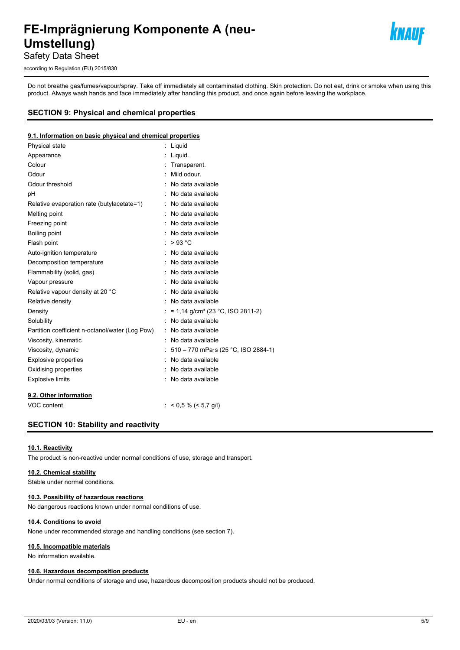

Safety Data Sheet

according to Regulation (EU) 2015/830

Do not breathe gas/fumes/vapour/spray. Take off immediately all contaminated clothing. Skin protection. Do not eat, drink or smoke when using this product. Always wash hands and face immediately after handling this product, and once again before leaving the workplace.

## **SECTION 9: Physical and chemical properties**

#### **9.1. Information on basic physical and chemical properties**

| Physical state                                  | : Liquid                                       |
|-------------------------------------------------|------------------------------------------------|
| Appearance                                      | Liquid.                                        |
| Colour                                          | : Transparent.                                 |
| Odour                                           | : Mild odour.                                  |
| Odour threshold                                 | No data available                              |
| рH                                              | No data available                              |
| Relative evaporation rate (butylacetate=1)      | : No data available                            |
| Melting point                                   | : No data available                            |
| Freezing point                                  | : No data available                            |
| Boiling point                                   | : No data available                            |
| Flash point                                     | $>93$ °C                                       |
| Auto-ignition temperature                       | : No data available                            |
| Decomposition temperature                       | : No data available                            |
| Flammability (solid, gas)                       | : No data available                            |
| Vapour pressure                                 | : No data available                            |
| Relative vapour density at 20 °C                | : No data available                            |
| Relative density                                | : No data available                            |
| Density                                         | : ≈ 1,14 g/cm <sup>3</sup> (23 °C, ISO 2811-2) |
| Solubility                                      | No data available                              |
| Partition coefficient n-octanol/water (Log Pow) | : No data available                            |
| Viscosity, kinematic                            | : No data available                            |
| Viscosity, dynamic                              | : $510 - 770$ mPa·s (25 °C, ISO 2884-1)        |
| <b>Explosive properties</b>                     | : No data available                            |
| Oxidising properties                            | : No data available                            |
| <b>Explosive limits</b>                         | : No data available                            |
| 9.2. Other information                          |                                                |
| VOC content                                     | : $< 0.5 \% (< 5.7$ g/l)                       |

## **SECTION 10: Stability and reactivity**

#### **10.1. Reactivity**

The product is non-reactive under normal conditions of use, storage and transport.

## **10.2. Chemical stability**

Stable under normal conditions.

#### **10.3. Possibility of hazardous reactions**

No dangerous reactions known under normal conditions of use.

#### **10.4. Conditions to avoid**

None under recommended storage and handling conditions (see section 7).

#### **10.5. Incompatible materials**

No information available.

#### **10.6. Hazardous decomposition products**

Under normal conditions of storage and use, hazardous decomposition products should not be produced.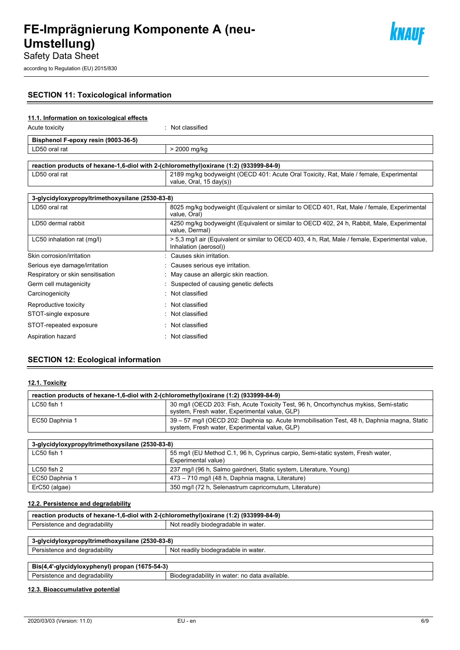

*knauf* 

Safety Data Sheet

according to Regulation (EU) 2015/830

## **SECTION 11: Toxicological information**

## **11.1. Information on toxicological effects**

Acute toxicity in the contract of the contract of the contract of the contract of the contract of the contract of the contract of the contract of the contract of the contract of the contract of the contract of the contract

| Bisphenol F-epoxy resin (9003-36-5) |              |  |
|-------------------------------------|--------------|--|
| │ LD50 oral rat                     | > 2000 mg/kg |  |
|                                     |              |  |
|                                     |              |  |

| reaction products of hexane-1,6-diol with 2-(chloromethyl)oxirane (1:2) (933999-84-9) |                                                                                                                              |
|---------------------------------------------------------------------------------------|------------------------------------------------------------------------------------------------------------------------------|
| LD50 oral rat                                                                         | 2189 mg/kg bodyweight (OECD 401: Acute Oral Toxicity, Rat, Male / female, Experimental<br>value, Oral, $15 \text{ day}(s)$ ) |
|                                                                                       |                                                                                                                              |

| 3-glycidyloxypropyltrimethoxysilane (2530-83-8) |                                                                                                                          |  |
|-------------------------------------------------|--------------------------------------------------------------------------------------------------------------------------|--|
| LD50 oral rat                                   | 8025 mg/kg bodyweight (Equivalent or similar to OECD 401, Rat, Male / female, Experimental<br>value, Oral)               |  |
| LD50 dermal rabbit                              | 4250 mg/kg bodyweight (Equivalent or similar to OECD 402, 24 h, Rabbit, Male, Experimental<br>value, Dermal)             |  |
| LC50 inhalation rat (mg/l)                      | > 5.3 mg/l air (Equivalent or similar to OECD 403, 4 h, Rat, Male / female, Experimental value,<br>Inhalation (aerosol)) |  |
| Skin corrosion/irritation                       | Causes skin irritation.                                                                                                  |  |
| Serious eye damage/irritation                   | : Causes serious eye irritation.                                                                                         |  |
| Respiratory or skin sensitisation               | : May cause an allergic skin reaction.                                                                                   |  |
| Germ cell mutagenicity                          | Suspected of causing genetic defects                                                                                     |  |
| Carcinogenicity<br>۰.                           | Not classified                                                                                                           |  |
| Reproductive toxicity                           | : Not classified                                                                                                         |  |
| STOT-single exposure                            | Not classified                                                                                                           |  |
| STOT-repeated exposure                          | Not classified                                                                                                           |  |
| Aspiration hazard                               | Not classified                                                                                                           |  |

## **SECTION 12: Ecological information**

## **12.1. Toxicity**

| reaction products of hexane-1,6-diol with 2-(chloromethyl) oxirane (1:2) (933999-84-9) |                                                                                                                                             |
|----------------------------------------------------------------------------------------|---------------------------------------------------------------------------------------------------------------------------------------------|
| LC50 fish 1                                                                            | 30 mg/l (OECD 203: Fish, Acute Toxicity Test, 96 h, Oncorhynchus mykiss, Semi-static<br>system, Fresh water, Experimental value, GLP)       |
| EC50 Daphnia 1                                                                         | 39 – 57 mg/l (OECD 202: Daphnia sp. Acute Immobilisation Test, 48 h, Daphnia magna, Static<br>system, Fresh water, Experimental value, GLP) |

| 3-glycidyloxypropyltrimethoxysilane (2530-83-8) |                                                                                                        |
|-------------------------------------------------|--------------------------------------------------------------------------------------------------------|
| $LC50$ fish 1                                   | 55 mg/l (EU Method C.1, 96 h, Cyprinus carpio, Semi-static system, Fresh water,<br>Experimental value) |
| LC50 fish 2                                     | 237 mg/l (96 h, Salmo gairdneri, Static system, Literature, Young)                                     |
| EC50 Daphnia 1                                  | 473 – 710 mg/l (48 h, Daphnia magna, Literature)                                                       |
| ErC50 (algae)                                   | 350 mg/l (72 h, Selenastrum capricornutum, Literature)                                                 |

## **12.2. Persistence and degradability**

| reaction products of hexane-1,6-diol with 2-(chloromethyl)oxirane (1:2) (933999-84-9) |                                     |  |
|---------------------------------------------------------------------------------------|-------------------------------------|--|
| Persistence and degradability                                                         | Not readily biodegradable in water. |  |
|                                                                                       |                                     |  |
| 3-glycidyloxypropyltrimethoxysilane (2530-83-8)                                       |                                     |  |
| Persistence and degradability                                                         | Not readily biodegradable in water. |  |
|                                                                                       |                                     |  |

| . . 1675-54-?`<br>Bis(4<br>'-ulv<br>.<br>ovar<br>ЮĽ |                                         |
|-----------------------------------------------------|-----------------------------------------|
| <br>.<br>ື<br>and<br>, gegragability<br>.SICIILC    | bilitv<br>available.<br>-316<br>` wate. |

## **12.3. Bioaccumulative potential**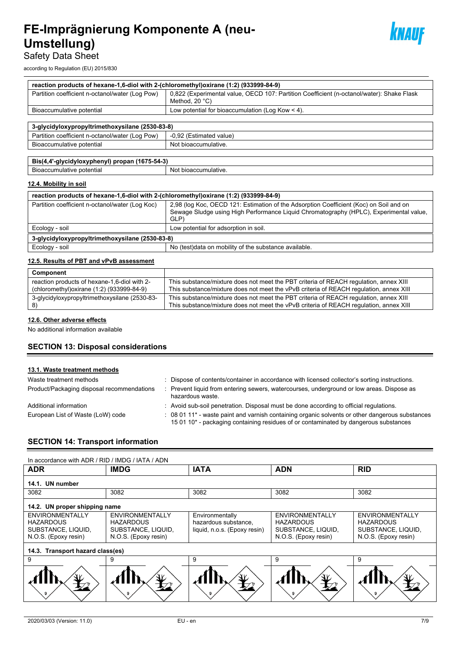

Safety Data Sheet

according to Regulation (EU) 2015/830

| reaction products of hexane-1,6-diol with 2-(chloromethyl) oxirane (1:2) (933999-84-9) |                                                                                                                      |  |
|----------------------------------------------------------------------------------------|----------------------------------------------------------------------------------------------------------------------|--|
| Partition coefficient n-octanol/water (Log Pow)                                        | 0,822 (Experimental value, OECD 107: Partition Coefficient (n-octanol/water): Shake Flask<br>Method, $20^{\circ}$ C) |  |
| Bioaccumulative potential                                                              | Low potential for bioaccumulation (Log Kow $<$ 4).                                                                   |  |
|                                                                                        |                                                                                                                      |  |
| 3-glycidyloxypropyltrimethoxysilane (2530-83-8)                                        |                                                                                                                      |  |
| Partition coefficient n-octanol/water (Log Pow)                                        | -0,92 (Estimated value)                                                                                              |  |
| Bioaccumulative potential                                                              | Not bioaccumulative.                                                                                                 |  |
|                                                                                        |                                                                                                                      |  |
| Bis(4,4'-glycidyloxyphenyl) propan (1675-54-3)                                         |                                                                                                                      |  |
| Bioaccumulative potential                                                              | Not bioaccumulative.                                                                                                 |  |

## **12.4. Mobility in soil**

| reaction products of hexane-1,6-diol with 2-(chloromethyl) oxirane (1:2) (933999-84-9) |                                                                                                                                                                                          |
|----------------------------------------------------------------------------------------|------------------------------------------------------------------------------------------------------------------------------------------------------------------------------------------|
| Partition coefficient n-octanol/water (Log Koc)                                        | 2,98 (log Koc, OECD 121: Estimation of the Adsorption Coefficient (Koc) on Soil and on<br>Sewage Sludge using High Performance Liquid Chromatography (HPLC), Experimental value,<br>GLP) |
| Ecology - soil                                                                         | Low potential for adsorption in soil.                                                                                                                                                    |
| 3-glycidyloxypropyltrimethoxysilane (2530-83-8)                                        |                                                                                                                                                                                          |
| Ecology - soil                                                                         | No (test) data on mobility of the substance available.                                                                                                                                   |

## **12.5. Results of PBT and vPvB assessment**

| Component                                                                                  |                                                                                                                                                                                 |
|--------------------------------------------------------------------------------------------|---------------------------------------------------------------------------------------------------------------------------------------------------------------------------------|
| reaction products of hexane-1,6-diol with 2-<br>(chloromethyl) oxirane (1:2) (933999-84-9) | This substance/mixture does not meet the PBT criteria of REACH regulation, annex XIII<br>This substance/mixture does not meet the vPvB criteria of REACH requlation, annex XIII |
| 3-glycidyloxypropyltrimethoxysilane (2530-83-                                              | This substance/mixture does not meet the PBT criteria of REACH regulation, annex XIII<br>This substance/mixture does not meet the vPvB criteria of REACH regulation, annex XIII |

#### **12.6. Other adverse effects**

No additional information available

## **SECTION 13: Disposal considerations**

#### **13.1. Waste treatment methods**

| Waste treatment methods                    | : Dispose of contents/container in accordance with licensed collector's sorting instructions.                                                                                           |
|--------------------------------------------|-----------------------------------------------------------------------------------------------------------------------------------------------------------------------------------------|
| Product/Packaging disposal recommendations | Prevent liquid from entering sewers, watercourses, underground or low areas. Dispose as<br>hazardous waste.                                                                             |
| Additional information                     | : Avoid sub-soil penetration. Disposal must be done according to official regulations.                                                                                                  |
| European List of Waste (LoW) code          | : 08 01 11* - waste paint and varnish containing organic solvents or other dangerous substances<br>15 01 10* - packaging containing residues of or contaminated by dangerous substances |

## **SECTION 14: Transport information**

| In accordance with ADR / RID / IMDG / IATA / ADN                                         |                                                                                          |                                                                         |                                                                                   |                                                                                          |
|------------------------------------------------------------------------------------------|------------------------------------------------------------------------------------------|-------------------------------------------------------------------------|-----------------------------------------------------------------------------------|------------------------------------------------------------------------------------------|
| <b>ADR</b>                                                                               | <b>IMDG</b>                                                                              | <b>IATA</b>                                                             | <b>ADN</b>                                                                        | <b>RID</b>                                                                               |
| 14.1. UN number                                                                          |                                                                                          |                                                                         |                                                                                   |                                                                                          |
| 3082                                                                                     | 3082                                                                                     | 3082                                                                    | 3082                                                                              | 3082                                                                                     |
| 14.2. UN proper shipping name                                                            |                                                                                          |                                                                         |                                                                                   |                                                                                          |
| <b>ENVIRONMENTALLY</b><br><b>HAZARDOUS</b><br>SUBSTANCE, LIQUID,<br>N.O.S. (Epoxy resin) | <b>ENVIRONMENTALLY</b><br><b>HAZARDOUS</b><br>SUBSTANCE, LIQUID,<br>N.O.S. (Epoxy resin) | Environmentally<br>hazardous substance,<br>liquid, n.o.s. (Epoxy resin) | ENVIRONMENTALLY<br><b>HAZARDOUS</b><br>SUBSTANCE, LIQUID,<br>N.O.S. (Epoxy resin) | <b>ENVIRONMENTALLY</b><br><b>HAZARDOUS</b><br>SUBSTANCE, LIQUID,<br>N.O.S. (Epoxy resin) |
| 14.3. Transport hazard class(es)                                                         |                                                                                          |                                                                         |                                                                                   |                                                                                          |
| 9                                                                                        | 9                                                                                        | 9                                                                       | 9                                                                                 | 9                                                                                        |
|                                                                                          |                                                                                          |                                                                         |                                                                                   |                                                                                          |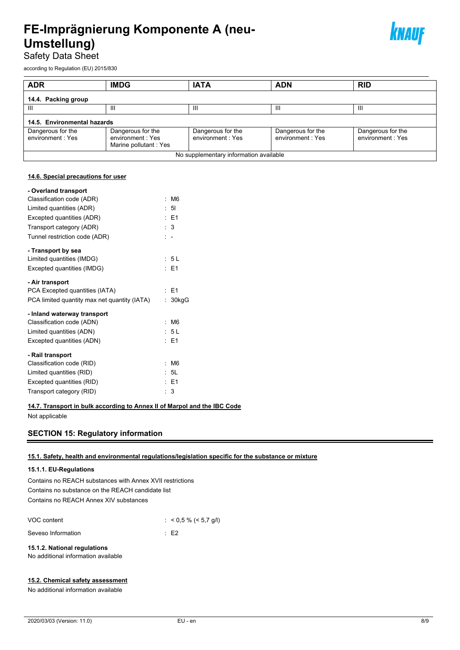

Safety Data Sheet

according to Regulation (EU) 2015/830

| <b>ADR</b>                            | <b>IMDG</b>                                                    | <b>IATA</b>                            | <b>ADN</b>                            | <b>RID</b>                            |
|---------------------------------------|----------------------------------------------------------------|----------------------------------------|---------------------------------------|---------------------------------------|
| 14.4. Packing group                   |                                                                |                                        |                                       |                                       |
| Ш                                     | Ш                                                              | Ш                                      | Ш                                     | $\mathbf{m}$                          |
| 14.5. Environmental hazards           |                                                                |                                        |                                       |                                       |
| Dangerous for the<br>environment: Yes | Dangerous for the<br>environment: Yes<br>Marine pollutant: Yes | Dangerous for the<br>environment: Yes  | Dangerous for the<br>environment: Yes | Dangerous for the<br>environment: Yes |
|                                       |                                                                | No supplementary information available |                                       |                                       |

#### **14.6. Special precautions for user**

| - Overland transport                         |    |                |
|----------------------------------------------|----|----------------|
| Classification code (ADR)                    |    | M <sub>6</sub> |
| Limited quantities (ADR)                     |    | : 51           |
| Excepted quantities (ADR)                    |    | $\pm$ E1       |
| Transport category (ADR)                     |    | $\therefore$ 3 |
| Tunnel restriction code (ADR)                |    | $\mathbb{R}^2$ |
| - Transport by sea                           |    |                |
| Limited quantities (IMDG)                    |    | : 5 L          |
| Excepted quantities (IMDG)                   |    | $E = 1$        |
| - Air transport                              |    |                |
| PCA Excepted quantities (IATA)               |    | : E1           |
| PCA limited quantity max net quantity (IATA) | t. | 30kgG          |
| - Inland waterway transport                  |    |                |
| Classification code (ADN)                    |    | M <sub>6</sub> |
| Limited quantities (ADN)                     |    | : 5 L          |
| Excepted quantities (ADN)                    |    | $E = 1$        |
| - Rail transport                             |    |                |
| Classification code (RID)                    |    | M <sub>6</sub> |
| Limited quantities (RID)                     |    | : 5L           |
| Excepted quantities (RID)                    |    | : E1           |
|                                              |    |                |

**14.7. Transport in bulk according to Annex II of Marpol and the IBC Code**

Not applicable

## **SECTION 15: Regulatory information**

## **15.1. Safety, health and environmental regulations/legislation specific for the substance or mixture**

## **15.1.1. EU-Regulations**

Contains no REACH substances with Annex XVII restrictions Contains no substance on the REACH candidate list Contains no REACH Annex XIV substances

| VOC content        | : $< 0.5 \% (< 5.7$ g/l) |
|--------------------|--------------------------|
| Seveso Information | $\pm$ E2                 |

## **15.1.2. National regulations**

No additional information available

## **15.2. Chemical safety assessment**

No additional information available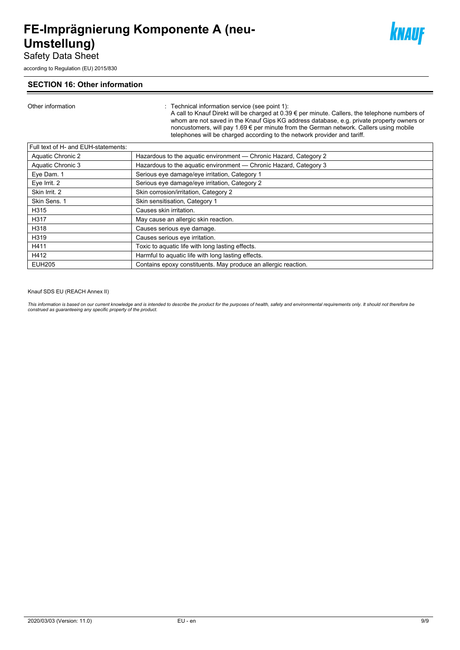Safety Data Sheet

according to Regulation (EU) 2015/830

## **SECTION 16: Other information**

Other information : Technical information service (see point 1):

A call to Knauf Direkt will be charged at 0.39 € per minute. Callers, the telephone numbers of whom are not saved in the Knauf Gips KG address database, e.g. private property owners or noncustomers, will pay 1.69 € per minute from the German network. Callers using mobile telephones will be charged according to the network provider and tariff.

knauf

| Hazardous to the aquatic environment - Chronic Hazard, Category 2<br>Aquatic Chronic 2<br>Hazardous to the aquatic environment - Chronic Hazard, Category 3<br>Aquatic Chronic 3<br>Serious eye damage/eye irritation, Category 1<br>Eye Dam. 1<br>Serious eye damage/eye irritation, Category 2<br>Eye Irrit. 2<br>Skin Irrit. 2<br>Skin corrosion/irritation, Category 2<br>Skin Sens. 1<br>Skin sensitisation, Category 1<br>Causes skin irritation.<br>H315<br>H317<br>May cause an allergic skin reaction.<br>H318<br>Causes serious eye damage. |
|-------------------------------------------------------------------------------------------------------------------------------------------------------------------------------------------------------------------------------------------------------------------------------------------------------------------------------------------------------------------------------------------------------------------------------------------------------------------------------------------------------------------------------------------------------|
|                                                                                                                                                                                                                                                                                                                                                                                                                                                                                                                                                       |
|                                                                                                                                                                                                                                                                                                                                                                                                                                                                                                                                                       |
|                                                                                                                                                                                                                                                                                                                                                                                                                                                                                                                                                       |
|                                                                                                                                                                                                                                                                                                                                                                                                                                                                                                                                                       |
|                                                                                                                                                                                                                                                                                                                                                                                                                                                                                                                                                       |
|                                                                                                                                                                                                                                                                                                                                                                                                                                                                                                                                                       |
|                                                                                                                                                                                                                                                                                                                                                                                                                                                                                                                                                       |
|                                                                                                                                                                                                                                                                                                                                                                                                                                                                                                                                                       |
|                                                                                                                                                                                                                                                                                                                                                                                                                                                                                                                                                       |
| Causes serious eye irritation.<br>H319                                                                                                                                                                                                                                                                                                                                                                                                                                                                                                                |
| Toxic to aquatic life with long lasting effects.<br>H411                                                                                                                                                                                                                                                                                                                                                                                                                                                                                              |
| H412<br>Harmful to aquatic life with long lasting effects.                                                                                                                                                                                                                                                                                                                                                                                                                                                                                            |
| Contains epoxy constituents. May produce an allergic reaction.<br><b>EUH205</b>                                                                                                                                                                                                                                                                                                                                                                                                                                                                       |

Knauf SDS EU (REACH Annex II)

This information is based on our current knowledge and is intended to describe the product for the purposes of health, safety and environmental requirements only. It should not therefore be<br>construed as guaranteeing any sp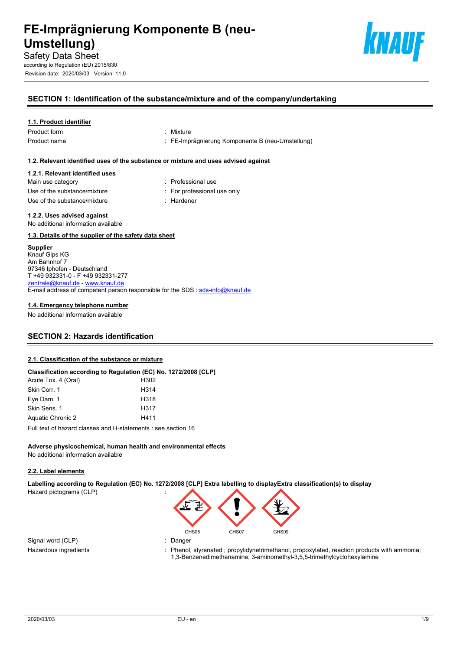

Revision date: 2020/03/03 Version: 11.0



## **SECTION 1: Identification of the substance/mixture and of the company/undertaking**

## **1.1. Product identifier**

Product form : Nixture

- 
- Product name **in the state of the Component Componente B** (neu-Umstellung) **Product** name

## **1.2. Relevant identified uses of the substance or mixture and uses advised against**

## **1.2.1. Relevant identified uses**

| Main use category            | : Professio             |
|------------------------------|-------------------------|
| Use of the substance/mixture | $\therefore$ For profes |
| Use of the substance/mixture | : Hardener              |

- : Professional use : For professional use only
- 

## **1.2.2. Uses advised against**

No additional information available

## **1.3. Details of the supplier of the safety data sheet**

## **Supplier**

Knauf Gips KG Am Bahnhof 7 97346 Iphofen - Deutschland T +49 932331-0 - F +49 932331-277 [zentrale@knauf.de](mailto:zentrale@knauf.de) -<www.knauf.de> E-mail address of competent person responsible for the SDS : [sds-info@knauf.de](mailto:sds-info@knauf.de)

#### **1.4. Emergency telephone number**

No additional information available

## **SECTION 2: Hazards identification**

## **2.1. Classification of the substance or mixture**

|                     | Classification according to Regulation (EC) No. 1272/2008 [CLP] |
|---------------------|-----------------------------------------------------------------|
| Acute Tox. 4 (Oral) | H302                                                            |
| Skin Corr. 1        | H314                                                            |
| Eye Dam. 1          | H318                                                            |
| Skin Sens. 1        | H317                                                            |
| Aquatic Chronic 2   | H411                                                            |
|                     | Full text of hazard classes and H-statements : see section 16   |

**Adverse physicochemical, human health and environmental effects** No additional information available

## **2.2. Label elements**

**Labelling according to Regulation (EC) No. 1272/2008 [CLP] Extra labelling to displayExtra classification(s) to display**  Hazard pictograms (CLP) :

Signal word (CLP)  $\qquad \qquad$ : Danger

- GHS05 GHS07 GHS09
- 
- Hazardous ingredients : Phenol, styrenated ; propylidynetrimethanol, propoxylated, reaction products with ammonia; 1,3-Benzenedimethanamine; 3-aminomethyl-3,5,5-trimethylcyclohexylamine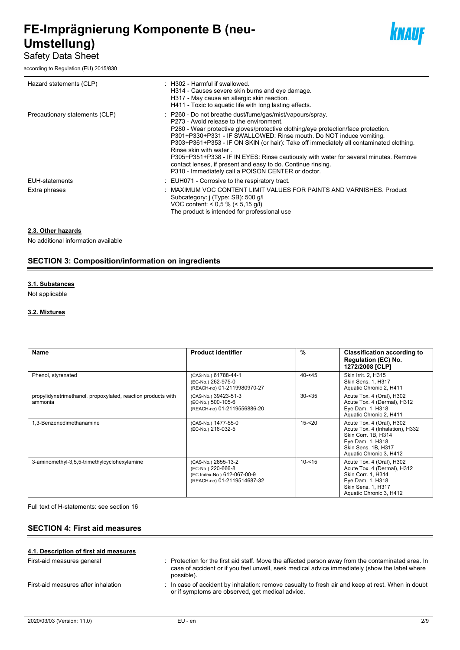## Safety Data Sheet

according to Regulation (EU) 2015/830



| Hazard statements (CLP)        | : H302 - Harmful if swallowed.<br>H314 - Causes severe skin burns and eye damage.<br>H317 - May cause an allergic skin reaction.<br>H411 - Toxic to aquatic life with long lasting effects.                                                                                                                                                                                                                                                                                                                                                                                                        |
|--------------------------------|----------------------------------------------------------------------------------------------------------------------------------------------------------------------------------------------------------------------------------------------------------------------------------------------------------------------------------------------------------------------------------------------------------------------------------------------------------------------------------------------------------------------------------------------------------------------------------------------------|
| Precautionary statements (CLP) | : P260 - Do not breathe dust/fume/gas/mist/vapours/spray.<br>P273 - Avoid release to the environment.<br>P280 - Wear protective gloves/protective clothing/eye protection/face protection.<br>P301+P330+P331 - IF SWALLOWED: Rinse mouth. Do NOT induce vomiting.<br>P303+P361+P353 - IF ON SKIN (or hair): Take off immediately all contaminated clothing.<br>Rinse skin with water<br>P305+P351+P338 - IF IN EYES: Rinse cautiously with water for several minutes. Remove<br>contact lenses, if present and easy to do. Continue rinsing.<br>P310 - Immediately call a POISON CENTER or doctor. |
| EUH-statements                 | . EUH071 - Corrosive to the respiratory tract.                                                                                                                                                                                                                                                                                                                                                                                                                                                                                                                                                     |
| Extra phrases                  | MAXIMUM VOC CONTENT LIMIT VALUES FOR PAINTS AND VARNISHES. Product<br>Subcategory: j (Type: SB): 500 g/l<br>VOC content: < $0.5$ % (< $5.15$ q/l)<br>The product is intended for professional use                                                                                                                                                                                                                                                                                                                                                                                                  |

## **2.3. Other hazards**

No additional information available

## **SECTION 3: Composition/information on ingredients**

## **3.1. Substances**

Not applicable

## **3.2. Mixtures**

| Name                                                                    | <b>Product identifier</b>                                                                               | $\%$       | <b>Classification according to</b><br><b>Regulation (EC) No.</b><br>1272/2008 [CLP]                                                                       |
|-------------------------------------------------------------------------|---------------------------------------------------------------------------------------------------------|------------|-----------------------------------------------------------------------------------------------------------------------------------------------------------|
| Phenol, styrenated                                                      | (CAS-No.) 61788-44-1<br>(EC-No.) 262-975-0<br>(REACH-no) 01-2119980970-27                               | $40 - 545$ | Skin Irrit. 2. H315<br><b>Skin Sens. 1, H317</b><br>Aquatic Chronic 2, H411                                                                               |
| propylidynetrimethanol, propoxylated, reaction products with<br>ammonia | (CAS-No.) 39423-51-3<br>(EC-No.) 500-105-6<br>(REACH-no) 01-2119556886-20                               | $30 - 35$  | Acute Tox. 4 (Oral), H302<br>Acute Tox. 4 (Dermal), H312<br>Eye Dam. 1, H318<br>Aquatic Chronic 2, H411                                                   |
| 1,3-Benzenedimethanamine                                                | (CAS-No.) 1477-55-0<br>(EC-No.) 216-032-5                                                               | $15 - 20$  | Acute Tox. 4 (Oral), H302<br>Acute Tox. 4 (Inhalation), H332<br>Skin Corr. 1B, H314<br>Eye Dam. 1, H318<br>Skin Sens, 1B, H317<br>Aquatic Chronic 3, H412 |
| 3-aminomethyl-3,5,5-trimethylcyclohexylamine                            | (CAS-No.) 2855-13-2<br>(EC-No.) 220-666-8<br>(EC Index-No.) 612-067-00-9<br>(REACH-no) 01-2119514687-32 | $10 - 515$ | Acute Tox. 4 (Oral), H302<br>Acute Tox. 4 (Dermal), H312<br>Skin Corr. 1, H314<br>Eye Dam. 1, H318<br>Skin Sens. 1, H317<br>Aquatic Chronic 3, H412       |

Full text of H-statements: see section 16

## **SECTION 4: First aid measures**

| 4.1. Description of first aid measures |                                                                                                                                                                                                                   |
|----------------------------------------|-------------------------------------------------------------------------------------------------------------------------------------------------------------------------------------------------------------------|
| First-aid measures general             | : Protection for the first aid staff. Move the affected person away from the contaminated area. In<br>case of accident or if you feel unwell, seek medical advice immediately (show the label where<br>possible). |
| First-aid measures after inhalation    | : In case of accident by inhalation: remove casualty to fresh air and keep at rest. When in doubt<br>or if symptoms are observed, get medical advice.                                                             |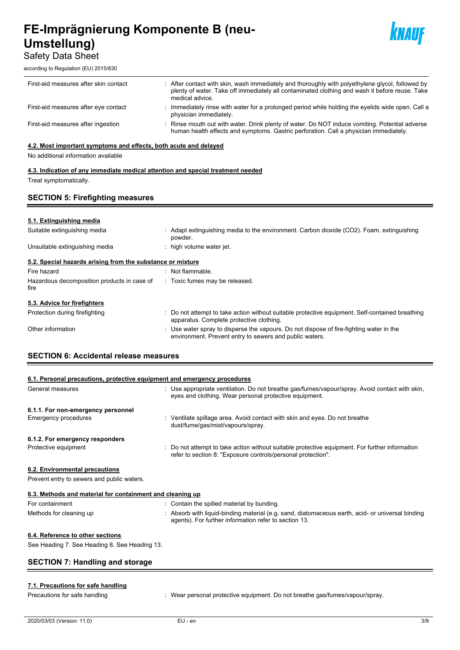Safety Data Sheet

according to Regulation (EU) 2015/830



| First-aid measures after skin contact | : After contact with skin, wash immediately and thoroughly with polyethylene glycol, followed by<br>plenty of water. Take off immediately all contaminated clothing and wash it before reuse. Take<br>medical advice. |
|---------------------------------------|-----------------------------------------------------------------------------------------------------------------------------------------------------------------------------------------------------------------------|
| First-aid measures after eye contact  | : Immediately rinse with water for a prolonged period while holding the eyelids wide open. Call a<br>physician immediately.                                                                                           |
| First-aid measures after ingestion    | : Rinse mouth out with water. Drink plenty of water. Do NOT induce vomiting. Potential adverse<br>human health effects and symptoms. Gastric perforation. Call a physician immediately.                               |

## **4.2. Most important symptoms and effects, both acute and delayed**

No additional information available

## **4.3. Indication of any immediate medical attention and special treatment needed** Treat symptomatically.

## **SECTION 5: Firefighting measures**

## **5.1. Extinguishing media**

| Suitable extinguishing media                               | : Adapt extinguishing media to the environment. Carbon dioxide (CO2). Foam. extinguishing<br>powder.                                               |
|------------------------------------------------------------|----------------------------------------------------------------------------------------------------------------------------------------------------|
| Unsuitable extinguishing media                             | high volume water jet.                                                                                                                             |
| 5.2. Special hazards arising from the substance or mixture |                                                                                                                                                    |
| Fire hazard                                                | : Not flammable.                                                                                                                                   |
| Hazardous decomposition products in case of<br>fire        | : Toxic fumes may be released.                                                                                                                     |
| 5.3. Advice for firefighters                               |                                                                                                                                                    |
| Protection during firefighting                             | : Do not attempt to take action without suitable protective equipment. Self-contained breathing<br>apparatus. Complete protective clothing.        |
| Other information                                          | : Use water spray to disperse the vapours. Do not dispose of fire-fighting water in the<br>environment. Prevent entry to sewers and public waters. |

## **SECTION 6: Accidental release measures**

| 6.1. Personal precautions, protective equipment and emergency procedures |                                                                                                                                                                |
|--------------------------------------------------------------------------|----------------------------------------------------------------------------------------------------------------------------------------------------------------|
| General measures                                                         | : Use appropriate ventilation. Do not breathe gas/fumes/vapour/spray. Avoid contact with skin,<br>eyes and clothing. Wear personal protective equipment.       |
| 6.1.1. For non-emergency personnel                                       |                                                                                                                                                                |
| Emergency procedures                                                     | : Ventilate spillage area. Avoid contact with skin and eyes. Do not breathe<br>dust/fume/gas/mist/vapours/spray.                                               |
| 6.1.2. For emergency responders                                          |                                                                                                                                                                |
| Protective equipment                                                     | : Do not attempt to take action without suitable protective equipment. For further information<br>refer to section 8: "Exposure controls/personal protection". |
| 6.2. Environmental precautions                                           |                                                                                                                                                                |
| Prevent entry to sewers and public waters.                               |                                                                                                                                                                |
|                                                                          |                                                                                                                                                                |

| 6.3. Methods and material for containment and cleaning up |                                                                                                                                                           |  |
|-----------------------------------------------------------|-----------------------------------------------------------------------------------------------------------------------------------------------------------|--|
| For containment                                           | : Contain the spilled material by bunding.                                                                                                                |  |
| Methods for cleaning up                                   | : Absorb with liquid-binding material (e.g. sand, diatomaceous earth, acid- or universal binding<br>agents). For further information refer to section 13. |  |

## **6.4. Reference to other sections**

See Heading 7. See Heading 8. See Heading 13.

## **SECTION 7: Handling and storage**

## **7.1. Precautions for safe handling**

Precautions for safe handling : Wear personal protective equipment. Do not breathe gas/fumes/vapour/spray.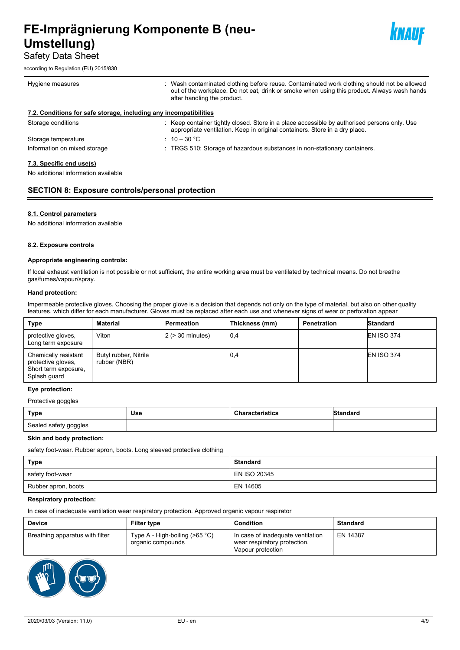Safety Data Sheet

according to Regulation (EU) 2015/830



| Hygiene measures                                                  | : Wash contaminated clothing before reuse. Contaminated work clothing should not be allowed                                                                                 |
|-------------------------------------------------------------------|-----------------------------------------------------------------------------------------------------------------------------------------------------------------------------|
|                                                                   | out of the workplace. Do not eat, drink or smoke when using this product. Always wash hands<br>after handling the product.                                                  |
| 7.2. Conditions for safe storage, including any incompatibilities |                                                                                                                                                                             |
| Storage conditions                                                | : Keep container tightly closed. Store in a place accessible by authorised persons only. Use<br>appropriate ventilation. Keep in original containers. Store in a dry place. |
| Storage temperature                                               | : 10 – 30 °C                                                                                                                                                                |
| Information on mixed storage                                      | : TRGS 510: Storage of hazardous substances in non-stationary containers.                                                                                                   |
| 7.3. Specific end use(s)                                          |                                                                                                                                                                             |

No additional information available

## **SECTION 8: Exposure controls/personal protection**

## **8.1. Control parameters**

No additional information available

#### **8.2. Exposure controls**

#### **Appropriate engineering controls:**

If local exhaust ventilation is not possible or not sufficient, the entire working area must be ventilated by technical means. Do not breathe gas/fumes/vapour/spray.

#### **Hand protection:**

Impermeable protective gloves. Choosing the proper glove is a decision that depends not only on the type of material, but also on other quality features, which differ for each manufacturer. Gloves must be replaced after each use and whenever signs of wear or perforation appear

| <b>Type</b>                                                                        | <b>Material</b>                       | Permeation            | Thickness (mm) | <b>Penetration</b> | Standard          |
|------------------------------------------------------------------------------------|---------------------------------------|-----------------------|----------------|--------------------|-------------------|
| protective gloves,<br>Long term exposure                                           | Viton                                 | $2$ ( $>$ 30 minutes) | 0,4            |                    | <b>EN ISO 374</b> |
| Chemically resistant<br>protective gloves,<br>Short term exposure,<br>Splash guard | Butyl rubber, Nitrile<br>rubber (NBR) |                       | 0,4            |                    | <b>EN ISO 374</b> |

#### **Eye protection:**

Protective goggles

| <b>Type</b>           | Use | אטופ | $0.4 - 0.4 - 0.4$ |
|-----------------------|-----|------|-------------------|
| Sealed safety goggles |     |      |                   |

#### **Skin and body protection:**

safety foot-wear. Rubber apron, boots. Long sleeved protective clothing

| <b>Type</b>         | <b>Standard</b> |
|---------------------|-----------------|
| safety foot-wear    | EN ISO 20345    |
| Rubber apron, boots | EN 14605        |

#### **Respiratory protection:**

In case of inadequate ventilation wear respiratory protection. Approved organic vapour respirator

| <b>Device</b>                   | <b>Filter type</b>                                     | <b>Condition</b>                                                                       | <b>Standard</b> |
|---------------------------------|--------------------------------------------------------|----------------------------------------------------------------------------------------|-----------------|
| Breathing apparatus with filter | Type A - High-boiling ( $>65$ °C)<br>organic compounds | In case of inadequate ventilation<br>wear respiratory protection,<br>Vapour protection | EN 14387        |

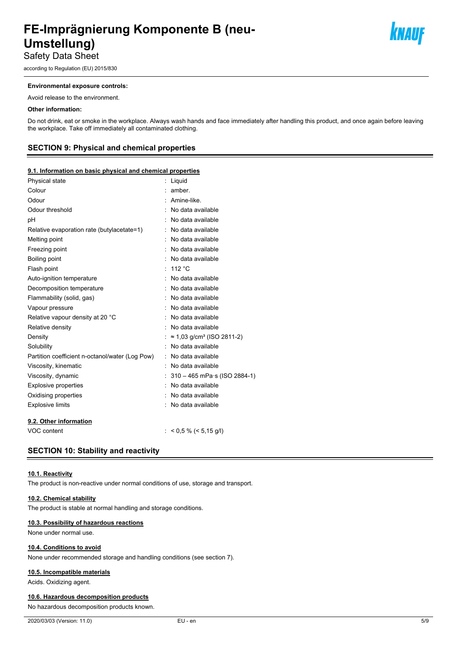according to Regulation (EU) 2015/830

#### **Environmental exposure controls:**

Avoid release to the environment.

#### **Other information:**

Do not drink, eat or smoke in the workplace. Always wash hands and face immediately after handling this product, and once again before leaving the workplace. Take off immediately all contaminated clothing.

## **SECTION 9: Physical and chemical properties**

#### **9.1. Information on basic physical and chemical properties**

| Physical state                                  | t | Liquid                                        |
|-------------------------------------------------|---|-----------------------------------------------|
| Colour                                          |   | amber                                         |
| Odour                                           |   | Amine-like.                                   |
| Odour threshold                                 |   | No data available                             |
| рH                                              |   | No data available                             |
| Relative evaporation rate (butylacetate=1)      |   | No data available                             |
| Melting point                                   |   | No data available                             |
| Freezing point                                  |   | No data available                             |
| Boiling point                                   |   | No data available                             |
| Flash point                                     |   | : 112 °C                                      |
| Auto-ignition temperature                       |   | No data available                             |
| Decomposition temperature                       |   | No data available                             |
| Flammability (solid, gas)                       |   | No data available                             |
| Vapour pressure                                 |   | No data available                             |
| Relative vapour density at 20 °C                |   | No data available                             |
| Relative density                                |   | No data available                             |
| Density                                         |   | $\approx$ 1,03 g/cm <sup>3</sup> (ISO 2811-2) |
| Solubility                                      |   | No data available                             |
| Partition coefficient n-octanol/water (Log Pow) |   | No data available                             |
| Viscosity, kinematic                            |   | No data available                             |
| Viscosity, dynamic                              |   | 310 - 465 mPa·s (ISO 2884-1)                  |
| <b>Explosive properties</b>                     |   | No data available                             |
| Oxidising properties                            |   | : No data available                           |
| <b>Explosive limits</b>                         |   | No data available                             |
| 9.2. Other information                          |   |                                               |
| VOC content                                     |   | $<$ 0,5 % ( $<$ 5,15 g/l)                     |

## **SECTION 10: Stability and reactivity**

#### **10.1. Reactivity**

The product is non-reactive under normal conditions of use, storage and transport.

#### **10.2. Chemical stability**

The product is stable at normal handling and storage conditions.

#### **10.3. Possibility of hazardous reactions**

None under normal use.

#### **10.4. Conditions to avoid**

None under recommended storage and handling conditions (see section 7).

#### **10.5. Incompatible materials**

Acids. Oxidizing agent.

#### **10.6. Hazardous decomposition products**

No hazardous decomposition products known.

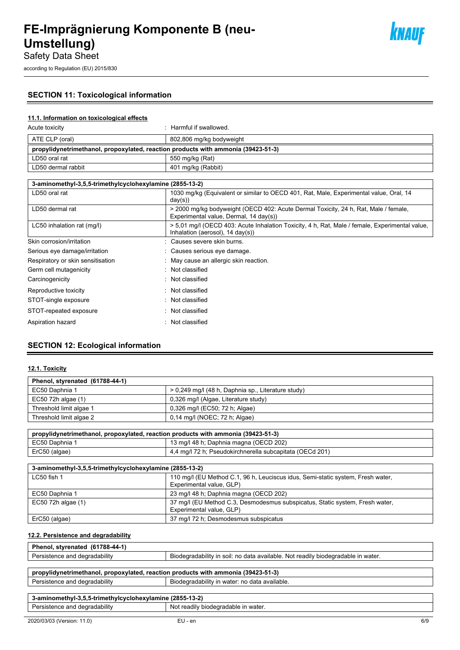## **SECTION 11: Toxicological information**

## **11.1. Information on toxicological effects**

| Acute toxicity                                                                    | : Harmful if swallowed.  |  |
|-----------------------------------------------------------------------------------|--------------------------|--|
| ATE CLP (oral)                                                                    | 802,806 mg/kg bodyweight |  |
| propylidynetrimethanol, propoxylated, reaction products with ammonia (39423-51-3) |                          |  |
| LD50 oral rat                                                                     | 550 mg/kg (Rat)          |  |
| LD50 dermal rabbit                                                                | 401 mg/kg (Rabbit)       |  |

| 3-aminomethyl-3,5,5-trimethylcyclohexylamine (2855-13-2) |                                                                                                                                    |  |  |
|----------------------------------------------------------|------------------------------------------------------------------------------------------------------------------------------------|--|--|
| LD50 oral rat                                            | 1030 mg/kg (Equivalent or similar to OECD 401, Rat, Male, Experimental value, Oral, 14<br>day(s))                                  |  |  |
| LD50 dermal rat                                          | > 2000 mg/kg bodyweight (OECD 402: Acute Dermal Toxicity, 24 h, Rat, Male / female,<br>Experimental value, Dermal, 14 day(s))      |  |  |
| LC50 inhalation rat (mq/l)                               | > 5,01 mg/l (OECD 403: Acute Inhalation Toxicity, 4 h, Rat, Male / female, Experimental value,<br>Inhalation (aerosol), 14 day(s)) |  |  |
| Skin corrosion/irritation                                | Causes severe skin burns.                                                                                                          |  |  |
| Serious eye damage/irritation                            | : Causes serious eye damage.                                                                                                       |  |  |
| Respiratory or skin sensitisation                        | May cause an allergic skin reaction.                                                                                               |  |  |
| Germ cell mutagenicity                                   | $\therefore$ Not classified                                                                                                        |  |  |
| Carcinogenicity                                          | $\therefore$ Not classified                                                                                                        |  |  |
| Reproductive toxicity                                    | $\therefore$ Not classified                                                                                                        |  |  |
| STOT-single exposure                                     | $\therefore$ Not classified                                                                                                        |  |  |
| STOT-repeated exposure                                   | : Not classified                                                                                                                   |  |  |
| Aspiration hazard                                        | Not classified                                                                                                                     |  |  |

## **SECTION 12: Ecological information**

## **12.1. Toxicity**

| Phenol, styrenated (61788-44-1) |                                                    |  |  |  |
|---------------------------------|----------------------------------------------------|--|--|--|
| EC50 Daphnia 1                  | > 0,249 mg/l (48 h, Daphnia sp., Literature study) |  |  |  |
| EC50 72h algae (1)              | 0,326 mg/l (Algae, Literature study)               |  |  |  |
| Threshold limit algae 1         | 0,326 mg/l (EC50; 72 h; Algae)                     |  |  |  |
| Threshold limit algae 2         | 0,14 mg/l (NOEC; 72 h; Algae)                      |  |  |  |

| propylidynetrimethanol, propoxylated, reaction products with ammonia (39423-51-3) * |  |  |  |  |
|-------------------------------------------------------------------------------------|--|--|--|--|
| 13 mg/l 48 h; Daphnia magna (OECD 202)<br>EC50 Daphnia 1                            |  |  |  |  |
| 4.4 mg/l 72 h; Pseudokirchnerella subcapitata (OECd 201)<br>ErC50 (algae)           |  |  |  |  |

| 3-aminomethyl-3,5,5-trimethylcyclohexylamine (2855-13-2) |                                                                                                             |  |  |  |
|----------------------------------------------------------|-------------------------------------------------------------------------------------------------------------|--|--|--|
| LC50 fish 1                                              | 110 mg/l (EU Method C.1, 96 h, Leuciscus idus, Semi-static system, Fresh water,<br>Experimental value, GLP) |  |  |  |
| EC50 Daphnia 1                                           | 23 mg/l 48 h; Daphnia magna (OECD 202)                                                                      |  |  |  |
| $EC50$ 72h algae $(1)$                                   | 37 mg/l (EU Method C.3, Desmodesmus subspicatus, Static system, Fresh water,<br>Experimental value, GLP)    |  |  |  |
| ErC50 (algae)                                            | 37 mg/l 72 h; Desmodesmus subspicatus                                                                       |  |  |  |

## **12.2. Persistence and degradability**

| Phenol,<br>(61788-44-1)<br>. styrenated |                                                                                  |
|-----------------------------------------|----------------------------------------------------------------------------------|
| Persistence and degradability           | Biodegradability in soil: no data available. Not readily biodegradable in water. |
|                                         |                                                                                  |

| propylidynetrimethanol, propoxylated, reaction products with ammonia (39423-51-3) |  |  |  |  |  |
|-----------------------------------------------------------------------------------|--|--|--|--|--|
| Persistence and degradability<br>Biodegradability in water: no data available.    |  |  |  |  |  |

## **3-aminomethyl-3,5,5-trimethylcyclohexylamine (2855-13-2)** Persistence and degradability Not readily biodegradable in water.

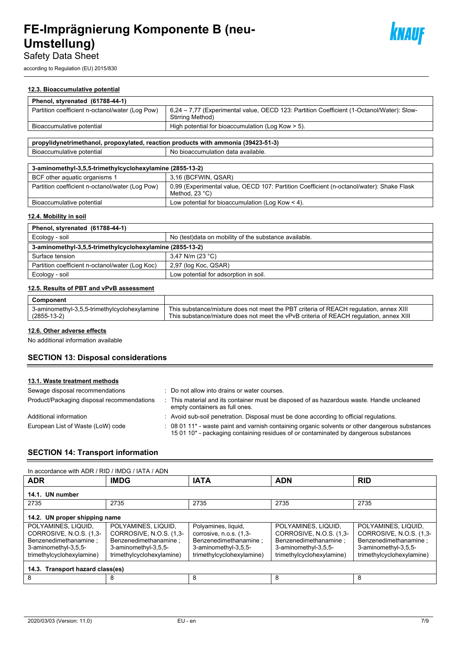

according to Regulation (EU) 2015/830

## **12.3. Bioaccumulative potential**

| Phenol, styrenated (61788-44-1)                                                   |                                                                                                               |  |  |  |
|-----------------------------------------------------------------------------------|---------------------------------------------------------------------------------------------------------------|--|--|--|
| Partition coefficient n-octanol/water (Log Pow)                                   | 6.24 – 7.77 (Experimental value, OECD 123: Partition Coefficient (1-Octanol/Water): Slow-<br>Stirring Method) |  |  |  |
| Bioaccumulative potential                                                         | High potential for bioaccumulation (Log Kow > 5).                                                             |  |  |  |
|                                                                                   |                                                                                                               |  |  |  |
| propylidynetrimethanol, propoxylated, reaction products with ammonia (39423-51-3) |                                                                                                               |  |  |  |

Bioaccumulative potential and a No bioaccumulation data available.

| 3-aminomethyl-3,5,5-trimethylcyclohexylamine (2855-13-2)                                                                                                         |                                                    |  |  |
|------------------------------------------------------------------------------------------------------------------------------------------------------------------|----------------------------------------------------|--|--|
| 3.16 (BCFWIN, QSAR)<br>BCF other aquatic organisms 1                                                                                                             |                                                    |  |  |
| Partition coefficient n-octanol/water (Log Pow)<br>0,99 (Experimental value, OECD 107: Partition Coefficient (n-octanol/water): Shake Flask<br>Method, $23 °C$ ) |                                                    |  |  |
| Bioaccumulative potential                                                                                                                                        | Low potential for bioaccumulation (Log Kow $<$ 4). |  |  |

## **12.4. Mobility in soil**

| Phenol, styrenated (61788-44-1)                                         |                                                        |  |  |
|-------------------------------------------------------------------------|--------------------------------------------------------|--|--|
| Ecology - soil                                                          | No (test) data on mobility of the substance available. |  |  |
| 3-aminomethyl-3,5,5-trimethylcyclohexylamine (2855-13-2)                |                                                        |  |  |
| Surface tension                                                         | 3,47 N/m (23 °C)                                       |  |  |
| Partition coefficient n-octanol/water (Log Koc)<br>2,97 (log Koc, QSAR) |                                                        |  |  |
| Ecology - soil                                                          | Low potential for adsorption in soil.                  |  |  |

## **12.5. Results of PBT and vPvB assessment**

| Component                                    |                                                                                        |
|----------------------------------------------|----------------------------------------------------------------------------------------|
| 3-aminomethyl-3,5,5-trimethylcyclohexylamine | This substance/mixture does not meet the PBT criteria of REACH regulation, annex XIII  |
| (2855-13-2)                                  | This substance/mixture does not meet the vPvB criteria of REACH regulation, annex XIII |

## **12.6. Other adverse effects**

No additional information available

## **SECTION 13: Disposal considerations**

## **13.1. Waste treatment methods**

| Sewage disposal recommendations            | : Do not allow into drains or water courses.                                                                                                                                               |
|--------------------------------------------|--------------------------------------------------------------------------------------------------------------------------------------------------------------------------------------------|
| Product/Packaging disposal recommendations | This material and its container must be disposed of as hazardous waste. Handle uncleaned<br>empty containers as full ones.                                                                 |
| Additional information                     | : Avoid sub-soil penetration. Disposal must be done according to official regulations.                                                                                                     |
| European List of Waste (LoW) code          | : 08 01 11* - waste paint and varnish containing organic solvents or other dangerous substances<br>15 01 10 $*$ - packaging containing residues of or contaminated by dangerous substances |

## **SECTION 14: Transport information**

| In accordance with ADR / RID / IMDG / IATA / ADN                                                                             |                                                                                                                              |                                                                                                                              |                                                                                                                              |                                                                                                                              |  |  |  |  |
|------------------------------------------------------------------------------------------------------------------------------|------------------------------------------------------------------------------------------------------------------------------|------------------------------------------------------------------------------------------------------------------------------|------------------------------------------------------------------------------------------------------------------------------|------------------------------------------------------------------------------------------------------------------------------|--|--|--|--|
| <b>ADR</b>                                                                                                                   | <b>IMDG</b>                                                                                                                  | <b>IATA</b>                                                                                                                  | <b>ADN</b>                                                                                                                   | <b>RID</b>                                                                                                                   |  |  |  |  |
| 14.1. UN number                                                                                                              |                                                                                                                              |                                                                                                                              |                                                                                                                              |                                                                                                                              |  |  |  |  |
| 2735                                                                                                                         | 2735                                                                                                                         | 2735                                                                                                                         | 2735                                                                                                                         | 2735                                                                                                                         |  |  |  |  |
| 14.2. UN proper shipping name                                                                                                |                                                                                                                              |                                                                                                                              |                                                                                                                              |                                                                                                                              |  |  |  |  |
| POLYAMINES, LIQUID,<br>CORROSIVE, N.O.S. (1,3-<br>Benzenedimethanamine:<br>3-aminomethyl-3,5,5-<br>trimethylcyclohexylamine) | POLYAMINES, LIQUID,<br>CORROSIVE, N.O.S. (1,3-<br>Benzenedimethanamine:<br>3-aminomethyl-3,5,5-<br>trimethylcyclohexylamine) | Polyamines, liquid,<br>corrosive, n.o.s. (1,3-<br>Benzenedimethanamine:<br>3-aminomethyl-3,5,5-<br>trimethylcyclohexylamine) | POLYAMINES, LIQUID,<br>CORROSIVE, N.O.S. (1,3-<br>Benzenedimethanamine:<br>3-aminomethyl-3,5,5-<br>trimethylcyclohexylamine) | POLYAMINES, LIQUID,<br>CORROSIVE, N.O.S. (1,3-<br>Benzenedimethanamine:<br>3-aminomethyl-3,5,5-<br>trimethylcyclohexylamine) |  |  |  |  |
| 14.3. Transport hazard class(es)                                                                                             |                                                                                                                              |                                                                                                                              |                                                                                                                              |                                                                                                                              |  |  |  |  |
| 8                                                                                                                            | 8                                                                                                                            | 8                                                                                                                            | 8                                                                                                                            | 8                                                                                                                            |  |  |  |  |

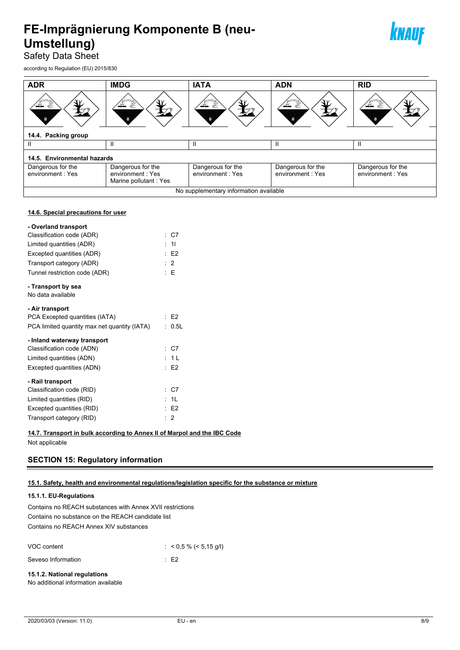

Safety Data Sheet

according to Regulation (EU) 2015/830

**14.6. Special precautions for user**

| <b>ADR</b>                             | <b>IMDG</b>                                                    | <b>IATA</b>                           | <b>ADN</b>                            | <b>RID</b>                             |  |  |
|----------------------------------------|----------------------------------------------------------------|---------------------------------------|---------------------------------------|----------------------------------------|--|--|
| 8                                      |                                                                |                                       |                                       |                                        |  |  |
| 14.4. Packing group                    |                                                                |                                       |                                       |                                        |  |  |
| Ш                                      | Ш                                                              | Ш                                     | Ш                                     | Ш                                      |  |  |
| 14.5. Environmental hazards            |                                                                |                                       |                                       |                                        |  |  |
| Dangerous for the<br>environment: Yes  | Dangerous for the<br>environment: Yes<br>Marine pollutant: Yes | Dangerous for the<br>environment: Yes | Dangerous for the<br>environment: Yes | Dangerous for the<br>environment : Yes |  |  |
| No supplementary information available |                                                                |                                       |                                       |                                        |  |  |

## **- Overland transport** Classification code (ADR) : C7 Limited quantities (ADR) : 1l Excepted quantities (ADR) : E2 Transport category (ADR) **:** 2 Tunnel restriction code (ADR) : E **- Transport by sea** No data available **- Air transport** PCA Excepted quantities (IATA) : E2 PCA limited quantity max net quantity (IATA) : 0.5L **- Inland waterway transport** Classification code (ADN) : C7 Limited quantities (ADN) : 1 L Excepted quantities (ADN) : E2 **- Rail transport** Classification code (RID) : C7 Limited quantities (RID) : 1L Excepted quantities (RID) **EXCEPTED EXCEPTED EXCEPTED EXCEPTED EXCEPTED EXCEPTED** Transport category (RID) : 2

## **14.7. Transport in bulk according to Annex II of Marpol and the IBC Code**

Not applicable

## **SECTION 15: Regulatory information**

## **15.1. Safety, health and environmental regulations/legislation specific for the substance or mixture**

## **15.1.1. EU-Regulations**

Contains no REACH substances with Annex XVII restrictions Contains no substance on the REACH candidate list Contains no REACH Annex XIV substances

| VOC content        | $:$ < 0,5 % (< 5,15 g/l) |
|--------------------|--------------------------|
| Seveso Information | ∴ F2                     |

## **15.1.2. National regulations**

No additional information available